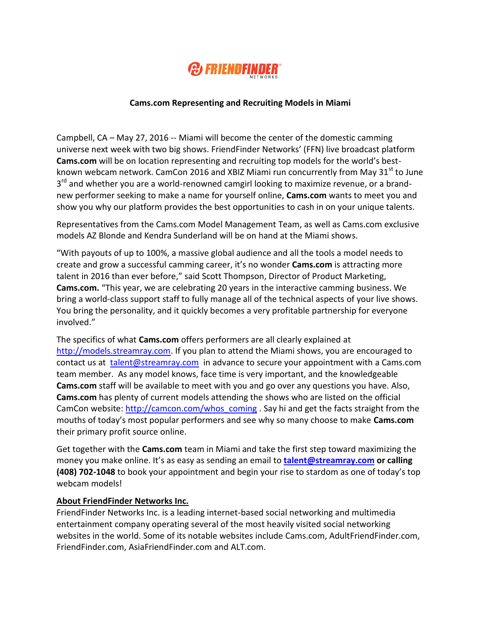

## **Cams.com Representing and Recruiting Models in Miami**

Campbell, CA – May 27, 2016 -- Miami will become the center of the domestic camming universe next week with two big shows. FriendFinder Networks' (FFN) live broadcast platform **Cams.com** will be on location representing and recruiting top models for the world's bestknown webcam network. CamCon 2016 and XBIZ Miami run concurrently from May 31 $^{\text{st}}$  to June 3<sup>rd</sup> and whether you are a world-renowned camgirl looking to maximize revenue, or a brandnew performer seeking to make a name for yourself online, **Cams.com** wants to meet you and show you why our platform provides the best opportunities to cash in on your unique talents.

Representatives from the Cams.com Model Management Team, as well as Cams.com exclusive models AZ Blonde and Kendra Sunderland will be on hand at the Miami shows.

"With payouts of up to 100%, a massive global audience and all the tools a model needs to create and grow a successful camming career, it's no wonder **Cams.com** is attracting more talent in 2016 than ever before," said Scott Thompson, Director of Product Marketing, **Cams.com.** "This year, we are celebrating 20 years in the interactive camming business. We bring a world-class support staff to fully manage all of the technical aspects of your live shows. You bring the personality, and it quickly becomes a very profitable partnership for everyone involved."

The specifics of what **Cams.com** offers performers are all clearly explained at [http://models.streamray.com.](http://models.streamray.com/) If you plan to attend the Miami shows, you are encouraged to contact us at [talent@streamray.com](mailto:talent@streamray.com) in advance to secure your appointment with a Cams.com team member. As any model knows, face time is very important, and the knowledgeable **Cams.com** staff will be available to meet with you and go over any questions you have. Also, **Cams.com** has plenty of current models attending the shows who are listed on the official CamCon website: [http://camcon.com/whos\\_coming](http://camcon.com/whos_coming) . Say hi and get the facts straight from the mouths of today's most popular performers and see why so many choose to make **Cams.com** their primary profit source online.

Get together with the **Cams.com** team in Miami and take the first step toward maximizing the money you make online. It's as easy as sending an email to **[talent@streamray.com](mailto:talent@streamray.com) or calling (408) 702-1048** to book your appointment and begin your rise to stardom as one of today's top webcam models!

## **About FriendFinder Networks Inc.**

FriendFinder Networks Inc. is a leading internet-based social networking and multimedia entertainment company operating several of the most heavily visited social networking websites in the world. Some of its notable websites include Cams.com, AdultFriendFinder.com, FriendFinder.com, AsiaFriendFinder.com and ALT.com.